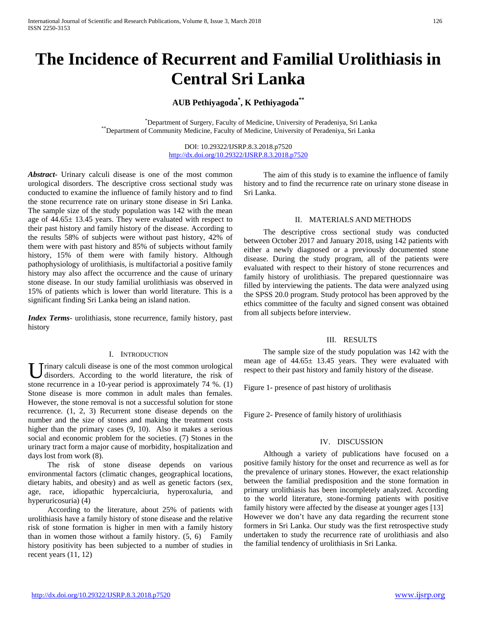# **The Incidence of Recurrent and Familial Urolithiasis in Central Sri Lanka**

## **AUB Pethiyagoda\* , K Pethiyagoda\*\***

 \* Department of Surgery, Faculty of Medicine, University of Peradeniya, Sri Lanka \*\*Department of Community Medicine, Faculty of Medicine, University of Peradeniya, Sri Lanka

> DOI: 10.29322/IJSRP.8.3.2018.p7520 <http://dx.doi.org/10.29322/IJSRP.8.3.2018.p7520>

*Abstract***-** Urinary calculi disease is one of the most common urological disorders. The descriptive cross sectional study was conducted to examine the influence of family history and to find the stone recurrence rate on urinary stone disease in Sri Lanka. The sample size of the study population was 142 with the mean age of 44.65± 13.45 years. They were evaluated with respect to their past history and family history of the disease. According to the results 58% of subjects were without past history, 42% of them were with past history and 85% of subjects without family history, 15% of them were with family history. Although pathophysiology of urolithiasis, is multifactorial a positive family history may also affect the occurrence and the cause of urinary stone disease. In our study familial urolithiasis was observed in 15% of patients which is lower than world literature. This is a significant finding Sri Lanka being an island nation.

*Index Terms*- urolithiasis, stone recurrence, family history, past history

#### I. INTRODUCTION

U rinary calculi disease is one of the most common urological disorders. According to the world literature, the risk of disorders. According to the world literature, the risk of stone recurrence in a 10-year period is approximately 74 %. (1) Stone disease is more common in adult males than females. However, the stone removal is not a successful solution for stone recurrence. (1, 2, 3) Recurrent stone disease depends on the number and the size of stones and making the treatment costs higher than the primary cases  $(9, 10)$ . Also it makes a serious social and economic problem for the societies. (7) Stones in the urinary tract form a major cause of morbidity, hospitalization and days lost from work (8).

 The risk of stone disease depends on various environmental factors (climatic changes, geographical locations, dietary habits, and obesity) and as well as genetic factors (sex, age, race, idiopathic hypercalciuria, hyperoxaluria, and hyperuricosuria) (4)

 According to the literature, about 25% of patients with urolithiasis have a family history of stone disease and the relative risk of stone formation is higher in men with a family history than in women those without a family history. (5, 6) Family history positivity has been subjected to a number of studies in recent years (11, 12)

 The aim of this study is to examine the influence of family history and to find the recurrence rate on urinary stone disease in Sri Lanka.

#### II. MATERIALS AND METHODS

 The descriptive cross sectional study was conducted between October 2017 and January 2018, using 142 patients with either a newly diagnosed or a previously documented stone disease. During the study program, all of the patients were evaluated with respect to their history of stone recurrences and family history of urolithiasis. The prepared questionnaire was filled by interviewing the patients. The data were analyzed using the SPSS 20.0 program. Study protocol has been approved by the ethics committee of the faculty and signed consent was obtained from all subjects before interview.

#### III. RESULTS

 The sample size of the study population was 142 with the mean age of 44.65± 13.45 years. They were evaluated with respect to their past history and family history of the disease.

Figure 1- presence of past history of urolithasis

Figure 2- Presence of family history of urolithiasis

### IV. DISCUSSION

 Although a variety of publications have focused on a positive family history for the onset and recurrence as well as for the prevalence of urinary stones. However, the exact relationship between the familial predisposition and the stone formation in primary urolithiasis has been incompletely analyzed. According to the world literature, stone-forming patients with positive family history were affected by the disease at younger ages [13] However we don't have any data regarding the recurrent stone formers in Sri Lanka. Our study was the first retrospective study undertaken to study the recurrence rate of urolithiasis and also the familial tendency of urolithiasis in Sri Lanka.